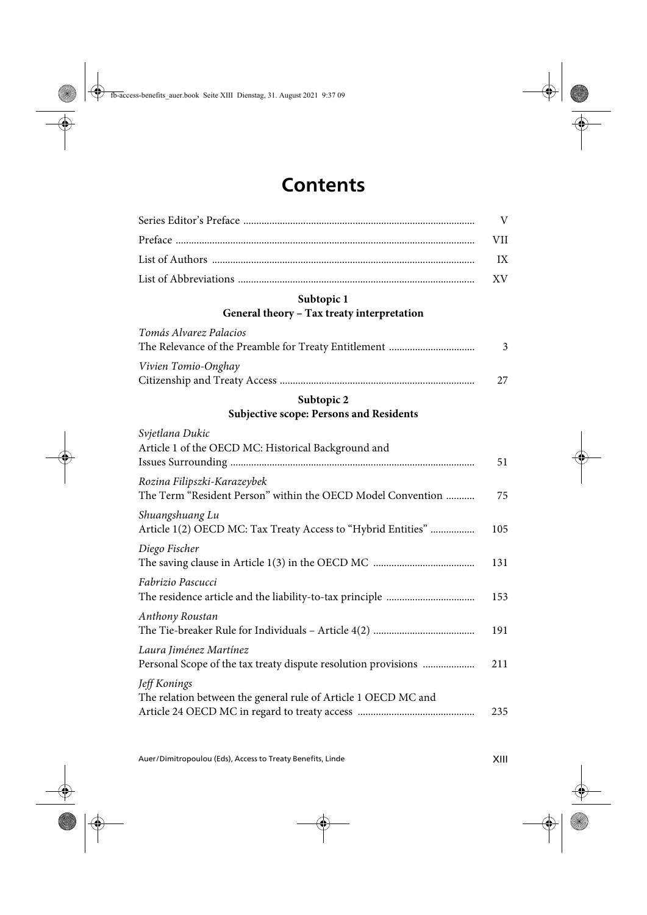## **Contents**

|                                                                                            | V   |
|--------------------------------------------------------------------------------------------|-----|
|                                                                                            | VII |
|                                                                                            | IX  |
|                                                                                            | XV  |
| Subtopic 1                                                                                 |     |
| General theory - Tax treaty interpretation                                                 |     |
| Tomás Alvarez Palacios                                                                     |     |
|                                                                                            | 3   |
| Vivien Tomio-Onghay                                                                        |     |
|                                                                                            | 27  |
| Subtopic 2                                                                                 |     |
| <b>Subjective scope: Persons and Residents</b>                                             |     |
| Svjetlana Dukic<br>Article 1 of the OECD MC: Historical Background and                     | 51  |
| Rozina Filipszki-Karazeybek<br>The Term "Resident Person" within the OECD Model Convention | 75  |
| Shuangshuang Lu<br>Article 1(2) OECD MC: Tax Treaty Access to "Hybrid Entities"            | 105 |
| Diego Fischer                                                                              | 131 |
| Fabrizio Pascucci                                                                          | 153 |
| Anthony Roustan                                                                            | 191 |
| Laura Jiménez Martínez<br>Personal Scope of the tax treaty dispute resolution provisions   | 211 |
| Jeff Konings<br>The relation between the general rule of Article 1 OECD MC and             | 235 |